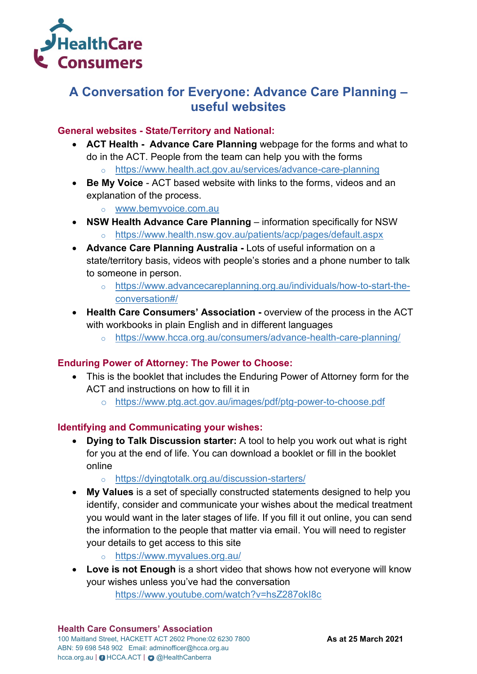

# **A Conversation for Everyone: Advance Care Planning – useful websites**

## **General websites - State/Territory and National:**

- **ACT Health - Advance Care Planning** webpage for the forms and what to do in the ACT. People from the team can help you with the forms o <https://www.health.act.gov.au/services/advance-care-planning>
- **Be My Voice** ACT based website with links to the forms, videos and an explanation of the process.
	- o [www.bemyvoice.com.au](http://www.bemyvoice.com.au/)
- **NSW Health Advance Care Planning** information specifically for NSW o <https://www.health.nsw.gov.au/patients/acp/pages/default.aspx>
- **Advance Care Planning Australia -** Lots of useful information on a state/territory basis, videos with people's stories and a phone number to talk to someone in person.
	- o [https://www.advancecareplanning.org.au/individuals/how-to-start-the](https://www.advancecareplanning.org.au/individuals/how-to-start-the-conversation#/)[conversation#/](https://www.advancecareplanning.org.au/individuals/how-to-start-the-conversation#/)
- **Health Care Consumers' Association -** overview of the process in the ACT with workbooks in plain English and in different languages
	- o <https://www.hcca.org.au/consumers/advance-health-care-planning/>

### **Enduring Power of Attorney: The Power to Choose:**

- This is the booklet that includes the Enduring Power of Attorney form for the ACT and instructions on how to fill it in
	- o <https://www.ptg.act.gov.au/images/pdf/ptg-power-to-choose.pdf>

### **Identifying and Communicating your wishes:**

- **Dying to Talk Discussion starter:** A tool to help you work out what is right for you at the end of life. You can download a booklet or fill in the booklet online
	- o <https://dyingtotalk.org.au/discussion-starters/>
- **My Values** is a set of specially constructed statements designed to help you identify, consider and communicate your wishes about the medical treatment you would want in the later stages of life. If you fill it out online, you can send the information to the people that matter via email. You will need to register your details to get access to this site
	- o <https://www.myvalues.org.au/>
- **Love is not Enough** is a short video that shows how not everyone will know your wishes unless you've had the conversation

<https://www.youtube.com/watch?v=hsZ287okI8c>